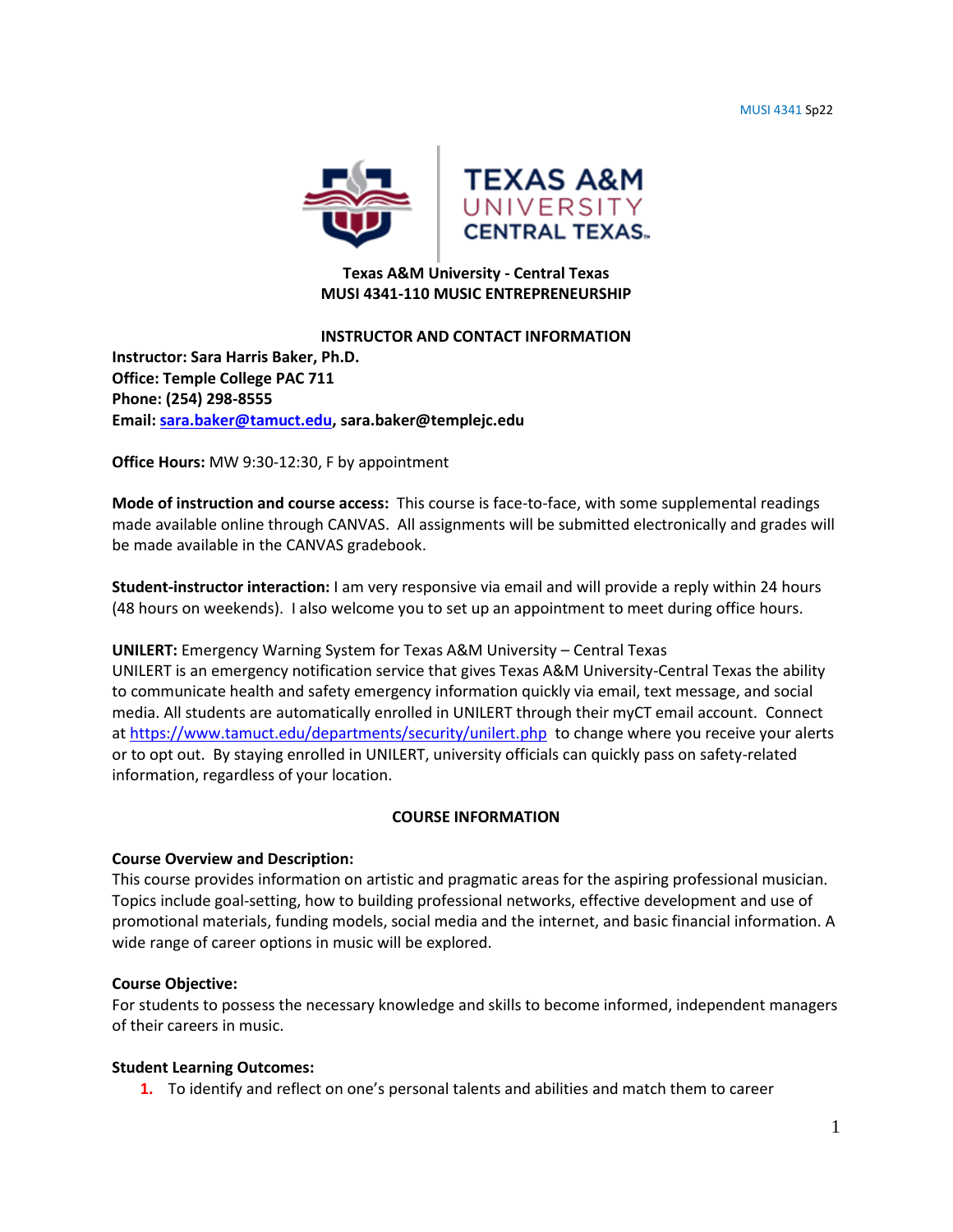MUSI 4341 Sp22



# **Texas A&M University - Central Texas MUSI 4341-110 MUSIC ENTREPRENEURSHIP**

### **INSTRUCTOR AND CONTACT INFORMATION**

**Instructor: Sara Harris Baker, Ph.D. Office: Temple College PAC 711 Phone: (254) 298-8555 Email: [sara.baker@tamuct.edu,](mailto:sara.baker@tamuct.edu) sara.baker@templejc.edu**

**Office Hours:** MW 9:30-12:30, F by appointment

**Mode of instruction and course access:** This course is face-to-face, with some supplemental readings made available online through CANVAS. All assignments will be submitted electronically and grades will be made available in the CANVAS gradebook.

**Student-instructor interaction:** I am very responsive via email and will provide a reply within 24 hours (48 hours on weekends). I also welcome you to set up an appointment to meet during office hours.

## **UNILERT:** Emergency Warning System for Texas A&M University – Central Texas

UNILERT is an emergency notification service that gives Texas A&M University-Central Texas the ability to communicate health and safety emergency information quickly via email, text message, and social media. All students are automatically enrolled in UNILERT through their myCT email account. Connect a[t https://www.tamuct.edu/departments/security/unilert.php](https://www.tamuct.edu/departments/security/unilert.php) to change where you receive your alerts or to opt out. By staying enrolled in UNILERT, university officials can quickly pass on safety-related information, regardless of your location.

## **COURSE INFORMATION**

## **Course Overview and Description:**

This course provides information on artistic and pragmatic areas for the aspiring professional musician. Topics include goal-setting, how to building professional networks, effective development and use of promotional materials, funding models, social media and the internet, and basic financial information. A wide range of career options in music will be explored.

### **Course Objective:**

For students to possess the necessary knowledge and skills to become informed, independent managers of their careers in music.

### **Student Learning Outcomes:**

**1.** To identify and reflect on one's personal talents and abilities and match them to career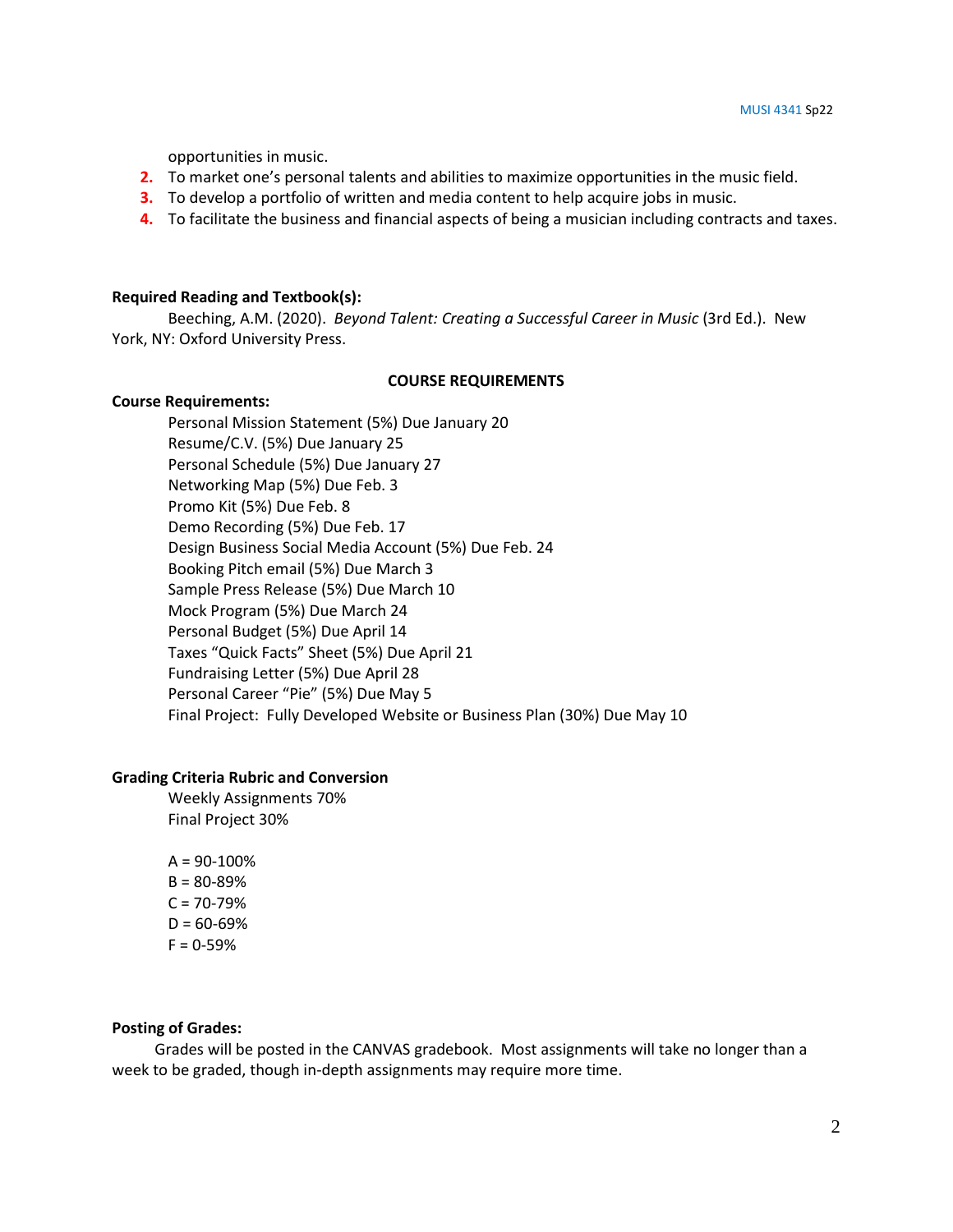opportunities in music.

- **2.** To market one's personal talents and abilities to maximize opportunities in the music field.
- **3.** To develop a portfolio of written and media content to help acquire jobs in music.
- **4.** To facilitate the business and financial aspects of being a musician including contracts and taxes.

#### **Required Reading and Textbook(s):**

Beeching, A.M. (2020). *Beyond Talent: Creating a Successful Career in Music* (3rd Ed.). New York, NY: Oxford University Press.

#### **COURSE REQUIREMENTS**

#### **Course Requirements:**

Personal Mission Statement (5%) Due January 20 Resume/C.V. (5%) Due January 25 Personal Schedule (5%) Due January 27 Networking Map (5%) Due Feb. 3 Promo Kit (5%) Due Feb. 8 Demo Recording (5%) Due Feb. 17 Design Business Social Media Account (5%) Due Feb. 24 Booking Pitch email (5%) Due March 3 Sample Press Release (5%) Due March 10 Mock Program (5%) Due March 24 Personal Budget (5%) Due April 14 Taxes "Quick Facts" Sheet (5%) Due April 21 Fundraising Letter (5%) Due April 28 Personal Career "Pie" (5%) Due May 5 Final Project: Fully Developed Website or Business Plan (30%) Due May 10

### **Grading Criteria Rubric and Conversion**

Weekly Assignments 70% Final Project 30%

 $A = 90 - 100%$  $B = 80 - 89%$  $C = 70 - 79%$  $D = 60 - 69%$  $F = 0 - 59%$ 

#### **Posting of Grades:**

 Grades will be posted in the CANVAS gradebook. Most assignments will take no longer than a week to be graded, though in-depth assignments may require more time.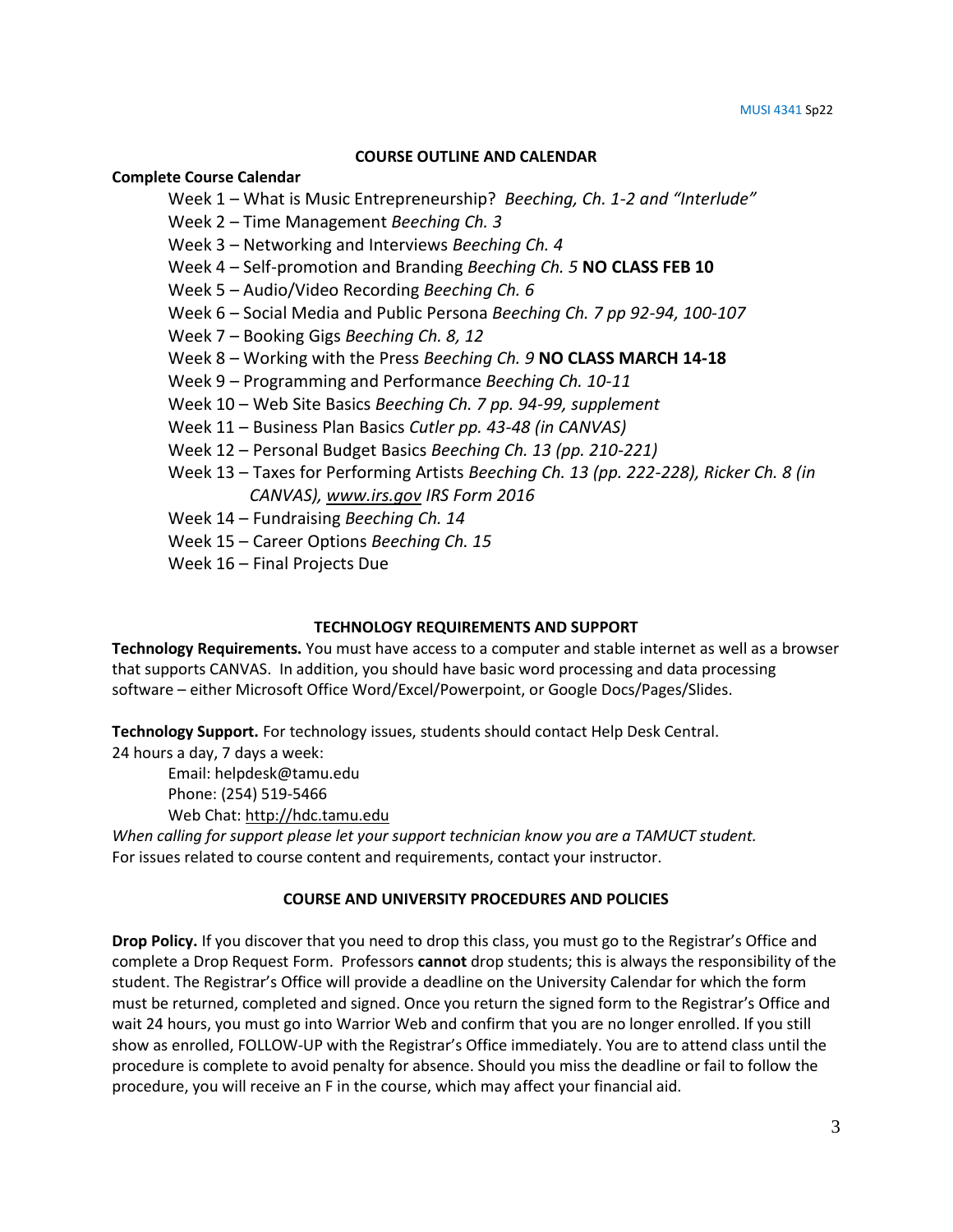### **COURSE OUTLINE AND CALENDAR**

### **Complete Course Calendar**

Week 1 – What is Music Entrepreneurship? *Beeching, Ch. 1-2 and "Interlude"*

Week 2 – Time Management *Beeching Ch. 3*

- Week 3 Networking and Interviews *Beeching Ch. 4*
- Week 4 Self-promotion and Branding *Beeching Ch. 5* **NO CLASS FEB 10**

Week 5 – Audio/Video Recording *Beeching Ch. 6*

- Week 6 Social Media and Public Persona *Beeching Ch. 7 pp 92-94, 100-107*
- Week 7 Booking Gigs *Beeching Ch. 8, 12*
- Week 8 Working with the Press *Beeching Ch. 9* **NO CLASS MARCH 14-18**
- Week 9 Programming and Performance *Beeching Ch. 10-11*
- Week 10 Web Site Basics *Beeching Ch. 7 pp. 94-99, supplement*
- Week 11 Business Plan Basics *Cutler pp. 43-48 (in CANVAS)*
- Week 12 Personal Budget Basics *Beeching Ch. 13 (pp. 210-221)*
- Week 13 Taxes for Performing Artists *Beeching Ch. 13 (pp. 222-228), Ricker Ch. 8 (in CANVAS), [www.irs.gov](http://www.irs.gov/) IRS Form 2016*
- Week 14 Fundraising *Beeching Ch. 14*
- Week 15 Career Options *Beeching Ch. 15*
- Week 16 Final Projects Due

## **TECHNOLOGY REQUIREMENTS AND SUPPORT**

**Technology Requirements.** You must have access to a computer and stable internet as well as a browser that supports CANVAS. In addition, you should have basic word processing and data processing software – either Microsoft Office Word/Excel/Powerpoint, or Google Docs/Pages/Slides.

**Technology Support.** For technology issues, students should contact Help Desk Central.

24 hours a day, 7 days a week:

Email: helpdesk@tamu.edu Phone: (254) 519-5466

Web Chat[: http://hdc.tamu.edu](http://hdc.tamu.edu/)

*When calling for support please let your support technician know you are a TAMUCT student.* For issues related to course content and requirements, contact your instructor.

## **COURSE AND UNIVERSITY PROCEDURES AND POLICIES**

**Drop Policy.** If you discover that you need to drop this class, you must go to the Registrar's Office and complete a Drop Request Form. Professors **cannot** drop students; this is always the responsibility of the student. The Registrar's Office will provide a deadline on the University Calendar for which the form must be returned, completed and signed. Once you return the signed form to the Registrar's Office and wait 24 hours, you must go into Warrior Web and confirm that you are no longer enrolled. If you still show as enrolled, FOLLOW-UP with the Registrar's Office immediately. You are to attend class until the procedure is complete to avoid penalty for absence. Should you miss the deadline or fail to follow the procedure, you will receive an F in the course, which may affect your financial aid.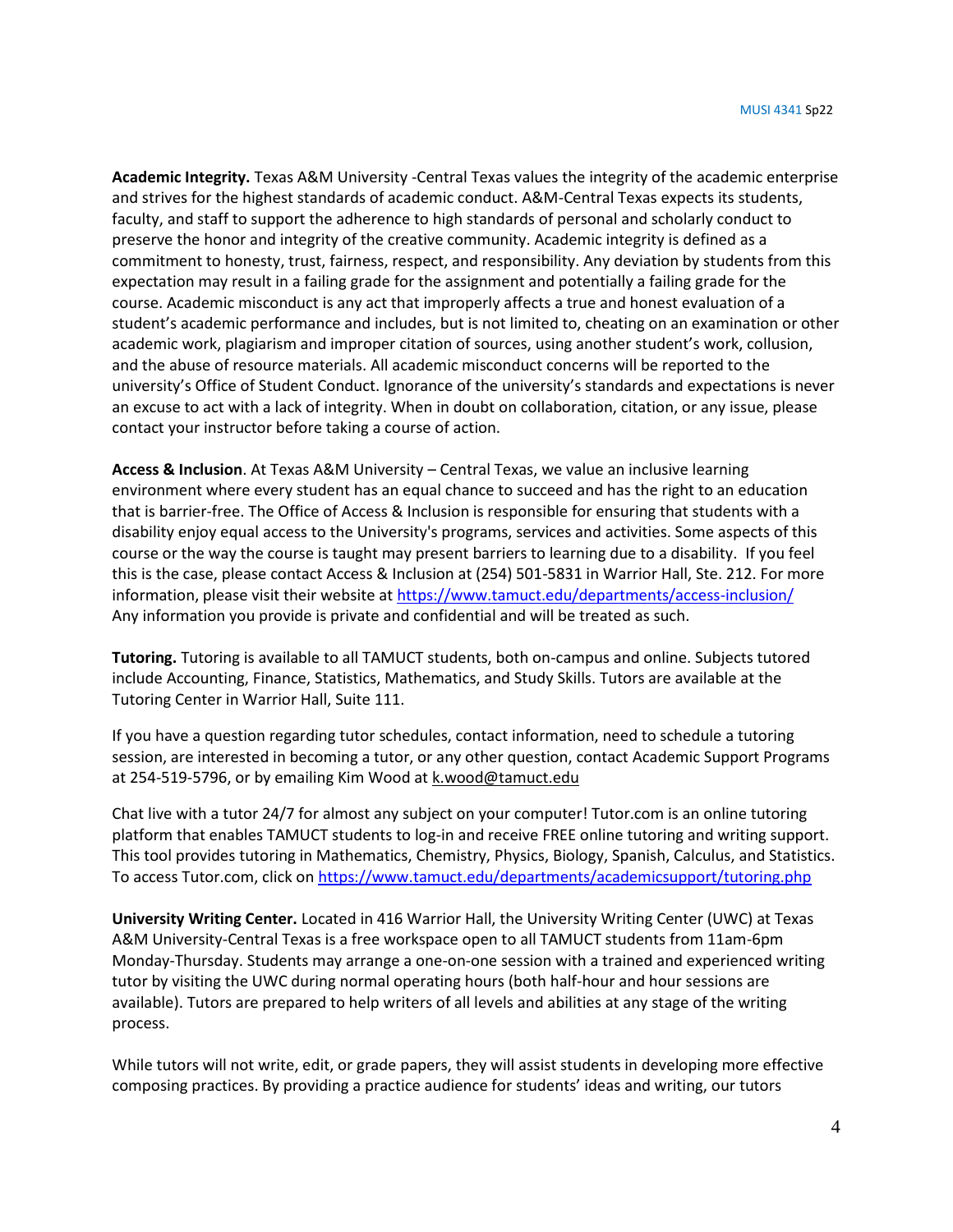**Academic Integrity.** Texas A&M University -Central Texas values the integrity of the academic enterprise and strives for the highest standards of academic conduct. A&M-Central Texas expects its students, faculty, and staff to support the adherence to high standards of personal and scholarly conduct to preserve the honor and integrity of the creative community. Academic integrity is defined as a commitment to honesty, trust, fairness, respect, and responsibility. Any deviation by students from this expectation may result in a failing grade for the assignment and potentially a failing grade for the course. Academic misconduct is any act that improperly affects a true and honest evaluation of a student's academic performance and includes, but is not limited to, cheating on an examination or other academic work, plagiarism and improper citation of sources, using another student's work, collusion, and the abuse of resource materials. All academic misconduct concerns will be reported to the university's Office of Student Conduct. Ignorance of the university's standards and expectations is never an excuse to act with a lack of integrity. When in doubt on collaboration, citation, or any issue, please contact your instructor before taking a course of action.

**Access & Inclusion**. At Texas A&M University – Central Texas, we value an inclusive learning environment where every student has an equal chance to succeed and has the right to an education that is barrier-free. The Office of Access & Inclusion is responsible for ensuring that students with a disability enjoy equal access to the University's programs, services and activities. Some aspects of this course or the way the course is taught may present barriers to learning due to a disability. If you feel this is the case, please contact Access & Inclusion at (254) 501-5831 in Warrior Hall, Ste. 212. For more information, please visit their website at<https://www.tamuct.edu/departments/access-inclusion/> Any information you provide is private and confidential and will be treated as such.

**Tutoring.** Tutoring is available to all TAMUCT students, both on-campus and online. Subjects tutored include Accounting, Finance, Statistics, Mathematics, and Study Skills. Tutors are available at the Tutoring Center in Warrior Hall, Suite 111.

If you have a question regarding tutor schedules, contact information, need to schedule a tutoring session, are interested in becoming a tutor, or any other question, contact Academic Support Programs at 254-519-5796, or by emailing Kim Wood a[t k.wood@tamuct.edu](mailto:k.wood@tamuct.edu)

Chat live with a tutor 24/7 for almost any subject on your computer! Tutor.com is an online tutoring platform that enables TAMUCT students to log-in and receive FREE online tutoring and writing support. This tool provides tutoring in Mathematics, Chemistry, Physics, Biology, Spanish, Calculus, and Statistics. To access Tutor.com, click on<https://www.tamuct.edu/departments/academicsupport/tutoring.php>

**University Writing Center.** Located in 416 Warrior Hall, the University Writing Center (UWC) at Texas A&M University-Central Texas is a free workspace open to all TAMUCT students from 11am-6pm Monday-Thursday. Students may arrange a one-on-one session with a trained and experienced writing tutor by visiting the UWC during normal operating hours (both half-hour and hour sessions are available). Tutors are prepared to help writers of all levels and abilities at any stage of the writing process.

While tutors will not write, edit, or grade papers, they will assist students in developing more effective composing practices. By providing a practice audience for students' ideas and writing, our tutors